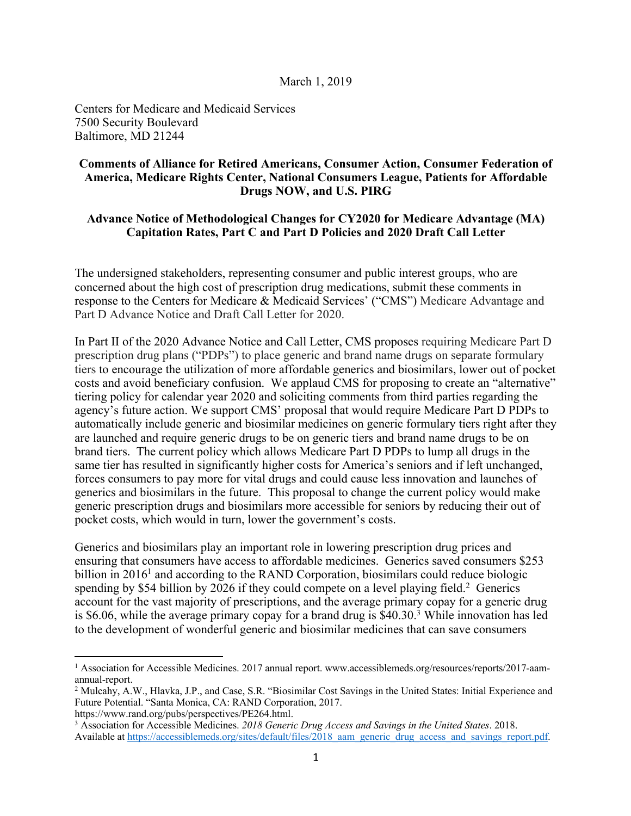## March 1, 2019

Centers for Medicare and Medicaid Services 7500 Security Boulevard Baltimore, MD 21244

## **Comments of Alliance for Retired Americans, Consumer Action, Consumer Federation of America, Medicare Rights Center, National Consumers League, Patients for Affordable Drugs NOW, and U.S. PIRG**

## **Advance Notice of Methodological Changes for CY2020 for Medicare Advantage (MA) Capitation Rates, Part C and Part D Policies and 2020 Draft Call Letter**

The undersigned stakeholders, representing consumer and public interest groups, who are concerned about the high cost of prescription drug medications, submit these comments in response to the Centers for Medicare & Medicaid Services' ("CMS") Medicare Advantage and Part D Advance Notice and Draft Call Letter for 2020.

In Part II of the 2020 Advance Notice and Call Letter, CMS proposes requiring Medicare Part D prescription drug plans ("PDPs") to place generic and brand name drugs on separate formulary tiers to encourage the utilization of more affordable generics and biosimilars, lower out of pocket costs and avoid beneficiary confusion. We applaud CMS for proposing to create an "alternative" tiering policy for calendar year 2020 and soliciting comments from third parties regarding the agency's future action. We support CMS' proposal that would require Medicare Part D PDPs to automatically include generic and biosimilar medicines on generic formulary tiers right after they are launched and require generic drugs to be on generic tiers and brand name drugs to be on brand tiers. The current policy which allows Medicare Part D PDPs to lump all drugs in the same tier has resulted in significantly higher costs for America's seniors and if left unchanged, forces consumers to pay more for vital drugs and could cause less innovation and launches of generics and biosimilars in the future. This proposal to change the current policy would make generic prescription drugs and biosimilars more accessible for seniors by reducing their out of pocket costs, which would in turn, lower the government's costs.

Generics and biosimilars play an important role in lowering prescription drug prices and ensuring that consumers have access to affordable medicines. Generics saved consumers \$253 billion in  $2016<sup>1</sup>$  and according to the RAND Corporation, biosimilars could reduce biologic spending by \$54 billion by 2026 if they could compete on a level playing field.<sup>2</sup> Generics account for the vast majority of prescriptions, and the average primary copay for a generic drug is \$6.06, while the average primary copay for a brand drug is \$40.30.3 While innovation has led to the development of wonderful generic and biosimilar medicines that can save consumers

 $\overline{a}$ 

<sup>1</sup> Association for Accessible Medicines. 2017 annual report. www.accessiblemeds.org/resources/reports/2017-aamannual-report.

<sup>2</sup> Mulcahy, A.W., Hlavka, J.P., and Case, S.R. "Biosimilar Cost Savings in the United States: Initial Experience and Future Potential. "Santa Monica, CA: RAND Corporation, 2017.

https://www.rand.org/pubs/perspectives/PE264.html.

<sup>3</sup> Association for Accessible Medicines. *2018 Generic Drug Access and Savings in the United States*. 2018. Available at https://accessiblemeds.org/sites/default/files/2018\_aam\_generic\_drug\_access\_and\_savings\_report.pdf.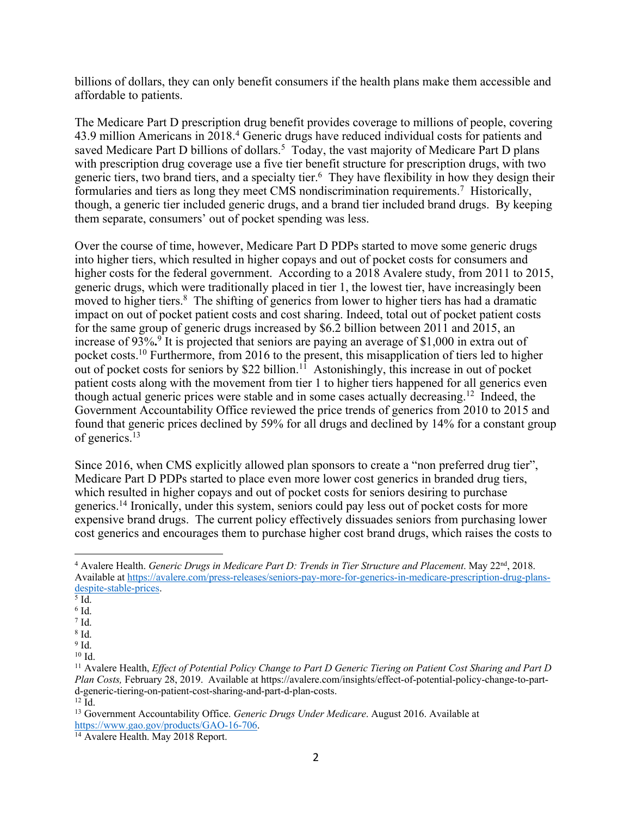billions of dollars, they can only benefit consumers if the health plans make them accessible and affordable to patients.

The Medicare Part D prescription drug benefit provides coverage to millions of people, covering 43.9 million Americans in 2018.<sup>4</sup> Generic drugs have reduced individual costs for patients and saved Medicare Part D billions of dollars.<sup>5</sup> Today, the vast majority of Medicare Part D plans with prescription drug coverage use a five tier benefit structure for prescription drugs, with two generic tiers, two brand tiers, and a specialty tier.<sup>6</sup> They have flexibility in how they design their formularies and tiers as long they meet CMS nondiscrimination requirements.<sup>7</sup> Historically, though, a generic tier included generic drugs, and a brand tier included brand drugs. By keeping them separate, consumers' out of pocket spending was less.

Over the course of time, however, Medicare Part D PDPs started to move some generic drugs into higher tiers, which resulted in higher copays and out of pocket costs for consumers and higher costs for the federal government. According to a 2018 Avalere study, from 2011 to 2015, generic drugs, which were traditionally placed in tier 1, the lowest tier, have increasingly been moved to higher tiers.<sup>8</sup> The shifting of generics from lower to higher tiers has had a dramatic impact on out of pocket patient costs and cost sharing. Indeed, total out of pocket patient costs for the same group of generic drugs increased by \$6.2 billion between 2011 and 2015, an increase of 93%**.** <sup>9</sup> It is projected that seniors are paying an average of \$1,000 in extra out of pocket costs.<sup>10</sup> Furthermore, from 2016 to the present, this misapplication of tiers led to higher out of pocket costs for seniors by \$22 billion.<sup>11</sup> Astonishingly, this increase in out of pocket patient costs along with the movement from tier 1 to higher tiers happened for all generics even though actual generic prices were stable and in some cases actually decreasing.<sup>12</sup> Indeed, the Government Accountability Office reviewed the price trends of generics from 2010 to 2015 and found that generic prices declined by 59% for all drugs and declined by 14% for a constant group of generics.13

Since 2016, when CMS explicitly allowed plan sponsors to create a "non preferred drug tier", Medicare Part D PDPs started to place even more lower cost generics in branded drug tiers, which resulted in higher copays and out of pocket costs for seniors desiring to purchase generics.<sup>14</sup> Ironically, under this system, seniors could pay less out of pocket costs for more expensive brand drugs. The current policy effectively dissuades seniors from purchasing lower cost generics and encourages them to purchase higher cost brand drugs, which raises the costs to

- $<sup>5</sup>$  Id.</sup>
- $6$  Id.

<sup>8</sup> Id.  $9$  Id.

 $\overline{a}$ <sup>4</sup> Avalere Health. *Generic Drugs in Medicare Part D: Trends in Tier Structure and Placement*. May 22nd, 2018. Available at https://avalere.com/press-releases/seniors-pay-more-for-generics-in-medicare-prescription-drug-plansdespite-stable-prices.

 $7$  Id.

<sup>10</sup> Id.

<sup>11</sup> Avalere Health, *Effect of Potential Policy Change to Part D Generic Tiering on Patient Cost Sharing and Part D Plan Costs,* February 28, 2019. Available at https://avalere.com/insights/effect-of-potential-policy-change-to-partd-generic-tiering-on-patient-cost-sharing-and-part-d-plan-costs.  $12 \bar{Id}$ .

<sup>13</sup> Government Accountability Office. *Generic Drugs Under Medicare*. August 2016. Available at https://www.gao.gov/products/GAO-16-706. 14 Avalere Health. May 2018 Report.